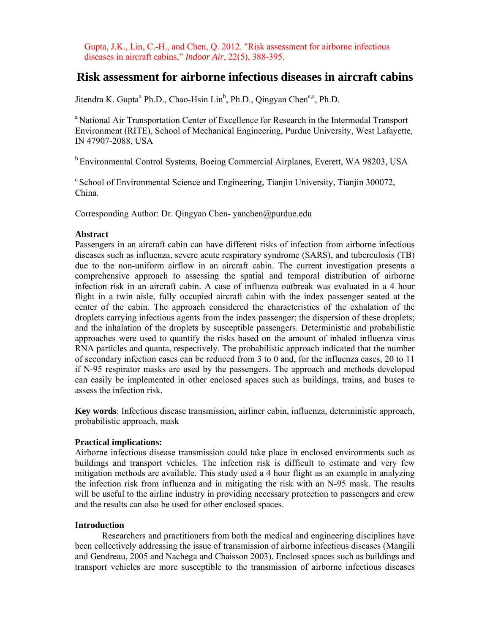Gupta, J.K., Lin, C.-H., and Chen, Q. 2012. "Risk assessment for airborne infectious diseases in aircraft cabins," *Indoor Air*, 22(5), 388-395.

# **Risk assessment for airborne infectious diseases in aircraft cabins**

Jitendra K. Gupta<sup>a</sup> Ph.D., Chao-Hsin Lin<sup>b</sup>, Ph.D., Qingyan Chen<sup>c,a</sup>, Ph.D.

<sup>a</sup> National Air Transportation Center of Excellence for Research in the Intermodal Transport Environment (RITE), School of Mechanical Engineering, Purdue University, West Lafayette, IN 47907-2088, USA

b Environmental Control Systems, Boeing Commercial Airplanes, Everett, WA 98203, USA

<sup>c</sup> School of Environmental Science and Engineering, Tianjin University, Tianjin 300072, China.

Corresponding Author: Dr. Qingyan Chen- yanchen@purdue.edu

## **Abstract**

Passengers in an aircraft cabin can have different risks of infection from airborne infectious diseases such as influenza, severe acute respiratory syndrome (SARS), and tuberculosis (TB) due to the non-uniform airflow in an aircraft cabin. The current investigation presents a comprehensive approach to assessing the spatial and temporal distribution of airborne infection risk in an aircraft cabin. A case of influenza outbreak was evaluated in a 4 hour flight in a twin aisle, fully occupied aircraft cabin with the index passenger seated at the center of the cabin. The approach considered the characteristics of the exhalation of the droplets carrying infectious agents from the index passenger; the dispersion of these droplets; and the inhalation of the droplets by susceptible passengers. Deterministic and probabilistic approaches were used to quantify the risks based on the amount of inhaled influenza virus RNA particles and quanta, respectively. The probabilistic approach indicated that the number of secondary infection cases can be reduced from 3 to 0 and, for the influenza cases, 20 to 11 if N-95 respirator masks are used by the passengers. The approach and methods developed can easily be implemented in other enclosed spaces such as buildings, trains, and buses to assess the infection risk.

**Key words**: Infectious disease transmission, airliner cabin, influenza, deterministic approach, probabilistic approach, mask

# **Practical implications:**

Airborne infectious disease transmission could take place in enclosed environments such as buildings and transport vehicles. The infection risk is difficult to estimate and very few mitigation methods are available. This study used a 4 hour flight as an example in analyzing the infection risk from influenza and in mitigating the risk with an N-95 mask. The results will be useful to the airline industry in providing necessary protection to passengers and crew and the results can also be used for other enclosed spaces.

## **Introduction**

Researchers and practitioners from both the medical and engineering disciplines have been collectively addressing the issue of transmission of airborne infectious diseases (Mangili and Gendreau, 2005 and Nachega and Chaisson 2003). Enclosed spaces such as buildings and transport vehicles are more susceptible to the transmission of airborne infectious diseases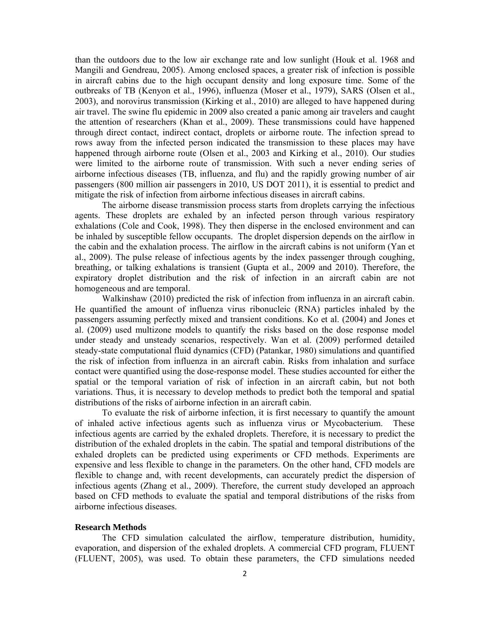than the outdoors due to the low air exchange rate and low sunlight (Houk et al. 1968 and Mangili and Gendreau, 2005). Among enclosed spaces, a greater risk of infection is possible in aircraft cabins due to the high occupant density and long exposure time. Some of the outbreaks of TB (Kenyon et al., 1996), influenza (Moser et al., 1979), SARS (Olsen et al., 2003), and norovirus transmission (Kirking et al., 2010) are alleged to have happened during air travel. The swine flu epidemic in 2009 also created a panic among air travelers and caught the attention of researchers (Khan et al., 2009). These transmissions could have happened through direct contact, indirect contact, droplets or airborne route. The infection spread to rows away from the infected person indicated the transmission to these places may have happened through airborne route (Olsen et al., 2003 and Kirking et al., 2010). Our studies were limited to the airborne route of transmission. With such a never ending series of airborne infectious diseases (TB, influenza, and flu) and the rapidly growing number of air passengers (800 million air passengers in 2010, US DOT 2011), it is essential to predict and mitigate the risk of infection from airborne infectious diseases in aircraft cabins.

The airborne disease transmission process starts from droplets carrying the infectious agents. These droplets are exhaled by an infected person through various respiratory exhalations (Cole and Cook, 1998). They then disperse in the enclosed environment and can be inhaled by susceptible fellow occupants. The droplet dispersion depends on the airflow in the cabin and the exhalation process. The airflow in the aircraft cabins is not uniform (Yan et al., 2009). The pulse release of infectious agents by the index passenger through coughing, breathing, or talking exhalations is transient (Gupta et al., 2009 and 2010). Therefore, the expiratory droplet distribution and the risk of infection in an aircraft cabin are not homogeneous and are temporal.

Walkinshaw (2010) predicted the risk of infection from influenza in an aircraft cabin. He quantified the amount of influenza virus ribonucleic (RNA) particles inhaled by the passengers assuming perfectly mixed and transient conditions. Ko et al. (2004) and Jones et al. (2009) used multizone models to quantify the risks based on the dose response model under steady and unsteady scenarios, respectively. Wan et al. (2009) performed detailed steady-state computational fluid dynamics (CFD) (Patankar, 1980) simulations and quantified the risk of infection from influenza in an aircraft cabin. Risks from inhalation and surface contact were quantified using the dose-response model. These studies accounted for either the spatial or the temporal variation of risk of infection in an aircraft cabin, but not both variations. Thus, it is necessary to develop methods to predict both the temporal and spatial distributions of the risks of airborne infection in an aircraft cabin.

To evaluate the risk of airborne infection, it is first necessary to quantify the amount of inhaled active infectious agents such as influenza virus or Mycobacterium. These infectious agents are carried by the exhaled droplets. Therefore, it is necessary to predict the distribution of the exhaled droplets in the cabin. The spatial and temporal distributions of the exhaled droplets can be predicted using experiments or CFD methods. Experiments are expensive and less flexible to change in the parameters. On the other hand, CFD models are flexible to change and, with recent developments, can accurately predict the dispersion of infectious agents (Zhang et al., 2009). Therefore, the current study developed an approach based on CFD methods to evaluate the spatial and temporal distributions of the risks from airborne infectious diseases.

#### **Research Methods**

The CFD simulation calculated the airflow, temperature distribution, humidity, evaporation, and dispersion of the exhaled droplets. A commercial CFD program, FLUENT (FLUENT, 2005), was used. To obtain these parameters, the CFD simulations needed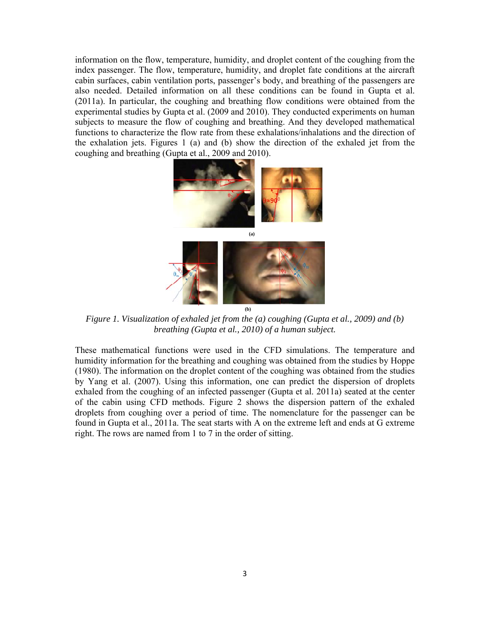information on the flow, temperature, humidity, and droplet content of the coughing from the index passenger. The flow, temperature, humidity, and droplet fate conditions at the aircraft cabin surfaces, cabin ventilation ports, passenger's body, and breathing of the passengers are also needed. Detailed information on all these conditions can be found in Gupta et al. (2011a). In particular, the coughing and breathing flow conditions were obtained from the experimental studies by Gupta et al. (2009 and 2010). They conducted experiments on human subjects to measure the flow of coughing and breathing. And they developed mathematical functions to characterize the flow rate from these exhalations/inhalations and the direction of the exhalation jets. Figures 1 (a) and (b) show the direction of the exhaled jet from the coughing and breathing (Gupta et al., 2009 and 2010).



*Figure 1. Visualization of exhaled jet from the (a) coughing (Gupta et al., 2009) and (b) breathing (Gupta et al., 2010) of a human subject.* 

These mathematical functions were used in the CFD simulations. The temperature and humidity information for the breathing and coughing was obtained from the studies by Hoppe (1980). The information on the droplet content of the coughing was obtained from the studies by Yang et al. (2007). Using this information, one can predict the dispersion of droplets exhaled from the coughing of an infected passenger (Gupta et al. 2011a) seated at the center of the cabin using CFD methods. Figure 2 shows the dispersion pattern of the exhaled droplets from coughing over a period of time. The nomenclature for the passenger can be found in Gupta et al., 2011a. The seat starts with A on the extreme left and ends at G extreme right. The rows are named from 1 to 7 in the order of sitting.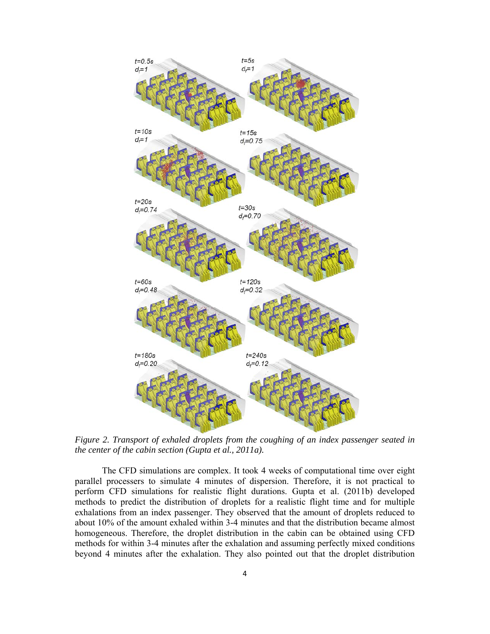

*Figure 2. Transport of exhaled droplets from the coughing of an index passenger seated in the center of the cabin section (Gupta et al., 2011a).* 

The CFD simulations are complex. It took 4 weeks of computational time over eight parallel processers to simulate 4 minutes of dispersion. Therefore, it is not practical to perform CFD simulations for realistic flight durations. Gupta et al. (2011b) developed methods to predict the distribution of droplets for a realistic flight time and for multiple exhalations from an index passenger. They observed that the amount of droplets reduced to about 10% of the amount exhaled within 3-4 minutes and that the distribution became almost homogeneous. Therefore, the droplet distribution in the cabin can be obtained using CFD methods for within 3-4 minutes after the exhalation and assuming perfectly mixed conditions beyond 4 minutes after the exhalation. They also pointed out that the droplet distribution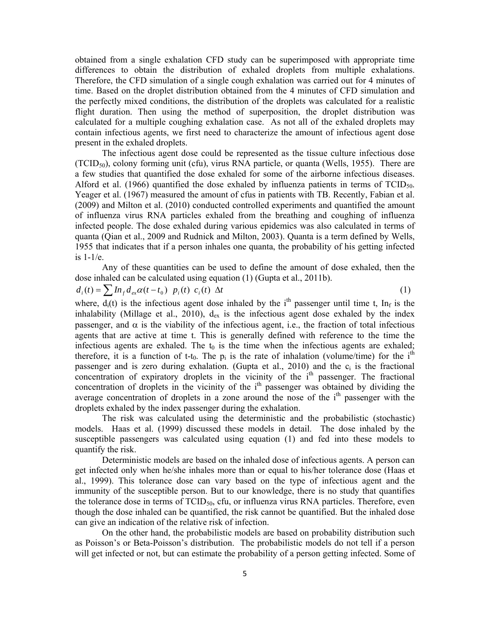obtained from a single exhalation CFD study can be superimposed with appropriate time differences to obtain the distribution of exhaled droplets from multiple exhalations. Therefore, the CFD simulation of a single cough exhalation was carried out for 4 minutes of time. Based on the droplet distribution obtained from the 4 minutes of CFD simulation and the perfectly mixed conditions, the distribution of the droplets was calculated for a realistic flight duration. Then using the method of superposition, the droplet distribution was calculated for a multiple coughing exhalation case. As not all of the exhaled droplets may contain infectious agents, we first need to characterize the amount of infectious agent dose present in the exhaled droplets.

The infectious agent dose could be represented as the tissue culture infectious dose (TCID50), colony forming unit (cfu), virus RNA particle, or quanta (Wells, 1955). There are a few studies that quantified the dose exhaled for some of the airborne infectious diseases. Alford et al. (1966) quantified the dose exhaled by influenza patients in terms of  $TCID_{50}$ . Yeager et al. (1967) measured the amount of cfus in patients with TB. Recently, Fabian et al. (2009) and Milton et al. (2010) conducted controlled experiments and quantified the amount of influenza virus RNA particles exhaled from the breathing and coughing of influenza infected people. The dose exhaled during various epidemics was also calculated in terms of quanta (Qian et al., 2009 and Rudnick and Milton, 2003). Quanta is a term defined by Wells, 1955 that indicates that if a person inhales one quanta, the probability of his getting infected is 1-1/e.

Any of these quantities can be used to define the amount of dose exhaled, then the dose inhaled can be calculated using equation (1) (Gupta et al., 2011b).

$$
d_i(t) = \sum I n_f d_{ex} \alpha(t - t_0) \ p_i(t) \ c_i(t) \ \Delta t \tag{1}
$$

where,  $d_i(t)$  is the infectious agent dose inhaled by the i<sup>th</sup> passenger until time t, In<sub>f</sub> is the inhalability (Millage et al., 2010),  $d_{ex}$  is the infectious agent dose exhaled by the index passenger, and  $\alpha$  is the viability of the infectious agent, i.e., the fraction of total infectious agents that are active at time t. This is generally defined with reference to the time the infectious agents are exhaled. The  $t_0$  is the time when the infectious agents are exhaled; therefore, it is a function of t-t<sub>0</sub>. The  $p_i$  is the rate of inhalation (volume/time) for the i<sup>th</sup> passenger and is zero during exhalation. (Gupta et al., 2010) and the  $c_i$  is the fractional concentration of expiratory droplets in the vicinity of the  $i<sup>th</sup>$  passenger. The fractional concentration of droplets in the vicinity of the  $i<sup>th</sup>$  passenger was obtained by dividing the average concentration of droplets in a zone around the nose of the  $i<sup>th</sup>$  passenger with the droplets exhaled by the index passenger during the exhalation.

The risk was calculated using the deterministic and the probabilistic (stochastic) models. Haas et al. (1999) discussed these models in detail. The dose inhaled by the susceptible passengers was calculated using equation (1) and fed into these models to quantify the risk.

Deterministic models are based on the inhaled dose of infectious agents. A person can get infected only when he/she inhales more than or equal to his/her tolerance dose (Haas et al., 1999). This tolerance dose can vary based on the type of infectious agent and the immunity of the susceptible person. But to our knowledge, there is no study that quantifies the tolerance dose in terms of  $TCID_{50}$ , cfu, or influenza virus RNA particles. Therefore, even though the dose inhaled can be quantified, the risk cannot be quantified. But the inhaled dose can give an indication of the relative risk of infection.

On the other hand, the probabilistic models are based on probability distribution such as Poisson's or Beta-Poisson's distribution. The probabilistic models do not tell if a person will get infected or not, but can estimate the probability of a person getting infected. Some of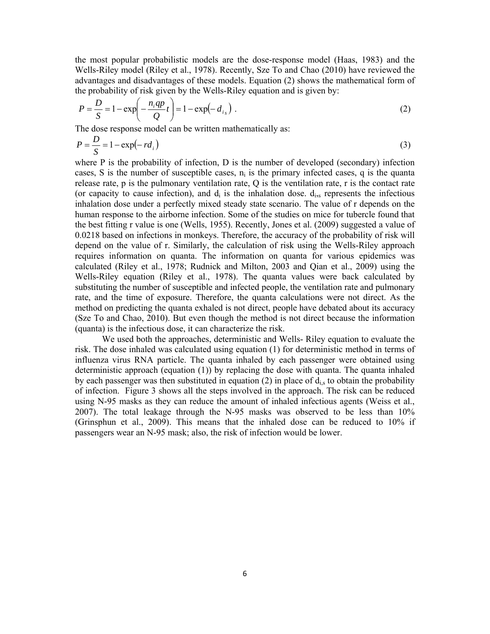the most popular probabilistic models are the dose-response model (Haas, 1983) and the Wells-Riley model (Riley et al., 1978). Recently, Sze To and Chao (2010) have reviewed the advantages and disadvantages of these models. Equation (2) shows the mathematical form of the probability of risk given by the Wells-Riley equation and is given by:

$$
P = \frac{D}{S} = 1 - \exp\left(-\frac{n_i q p}{Q} t\right) = 1 - \exp(-d_{is})
$$
 (2)

The dose response model can be written mathematically as:

$$
P = \frac{D}{S} = 1 - \exp(-\,r d_i) \tag{3}
$$

where P is the probability of infection, D is the number of developed (secondary) infection cases, S is the number of susceptible cases,  $n_i$  is the primary infected cases, q is the quanta release rate, p is the pulmonary ventilation rate, Q is the ventilation rate, r is the contact rate (or capacity to cause infection), and  $d_i$  is the inhalation dose.  $d_{i,s}$  represents the infectious inhalation dose under a perfectly mixed steady state scenario. The value of r depends on the human response to the airborne infection. Some of the studies on mice for tubercle found that the best fitting r value is one (Wells, 1955). Recently, Jones et al. (2009) suggested a value of 0.0218 based on infections in monkeys. Therefore, the accuracy of the probability of risk will depend on the value of r. Similarly, the calculation of risk using the Wells-Riley approach requires information on quanta. The information on quanta for various epidemics was calculated (Riley et al., 1978; Rudnick and Milton, 2003 and Qian et al., 2009) using the Wells-Riley equation (Riley et al., 1978). The quanta values were back calculated by substituting the number of susceptible and infected people, the ventilation rate and pulmonary rate, and the time of exposure. Therefore, the quanta calculations were not direct. As the method on predicting the quanta exhaled is not direct, people have debated about its accuracy (Sze To and Chao, 2010). But even though the method is not direct because the information (quanta) is the infectious dose, it can characterize the risk.

We used both the approaches, deterministic and Wells- Riley equation to evaluate the risk. The dose inhaled was calculated using equation (1) for deterministic method in terms of influenza virus RNA particle. The quanta inhaled by each passenger were obtained using deterministic approach (equation (1)) by replacing the dose with quanta. The quanta inhaled by each passenger was then substituted in equation (2) in place of  $d_{i,s}$  to obtain the probability of infection. Figure 3 shows all the steps involved in the approach. The risk can be reduced using N-95 masks as they can reduce the amount of inhaled infectious agents (Weiss et al., 2007). The total leakage through the N-95 masks was observed to be less than 10% (Grinsphun et al., 2009). This means that the inhaled dose can be reduced to 10% if passengers wear an N-95 mask; also, the risk of infection would be lower.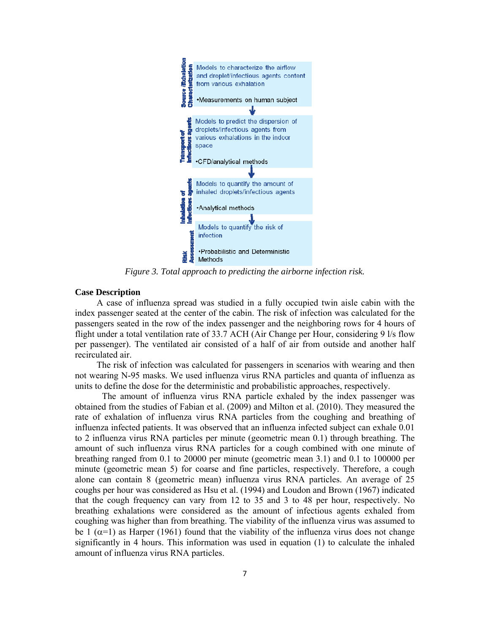

*Figure 3. Total approach to predicting the airborne infection risk.* 

## **Case Description**

A case of influenza spread was studied in a fully occupied twin aisle cabin with the index passenger seated at the center of the cabin. The risk of infection was calculated for the passengers seated in the row of the index passenger and the neighboring rows for 4 hours of flight under a total ventilation rate of 33.7 ACH (Air Change per Hour, considering 9 l/s flow per passenger). The ventilated air consisted of a half of air from outside and another half recirculated air.

The risk of infection was calculated for passengers in scenarios with wearing and then not wearing N-95 masks. We used influenza virus RNA particles and quanta of influenza as units to define the dose for the deterministic and probabilistic approaches, respectively.

The amount of influenza virus RNA particle exhaled by the index passenger was obtained from the studies of Fabian et al. (2009) and Milton et al. (2010). They measured the rate of exhalation of influenza virus RNA particles from the coughing and breathing of influenza infected patients. It was observed that an influenza infected subject can exhale 0.01 to 2 influenza virus RNA particles per minute (geometric mean 0.1) through breathing. The amount of such influenza virus RNA particles for a cough combined with one minute of breathing ranged from 0.1 to 20000 per minute (geometric mean 3.1) and 0.1 to 100000 per minute (geometric mean 5) for coarse and fine particles, respectively. Therefore, a cough alone can contain 8 (geometric mean) influenza virus RNA particles. An average of 25 coughs per hour was considered as Hsu et al. (1994) and Loudon and Brown (1967) indicated that the cough frequency can vary from 12 to 35 and 3 to 48 per hour, respectively. No breathing exhalations were considered as the amount of infectious agents exhaled from coughing was higher than from breathing. The viability of the influenza virus was assumed to be 1 ( $\alpha$ =1) as Harper (1961) found that the viability of the influenza virus does not change significantly in 4 hours. This information was used in equation (1) to calculate the inhaled amount of influenza virus RNA particles.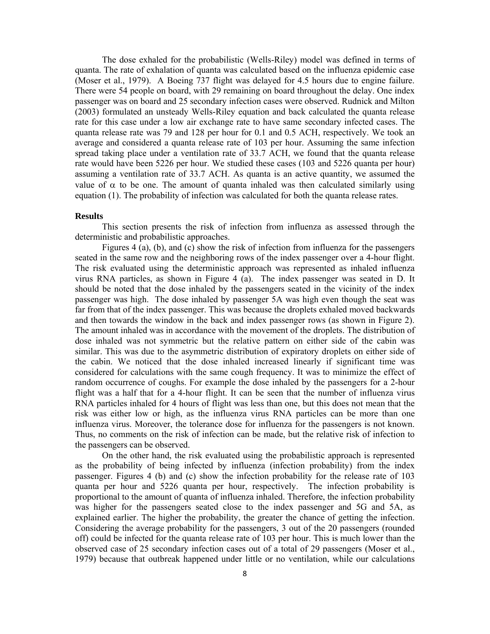The dose exhaled for the probabilistic (Wells-Riley) model was defined in terms of quanta. The rate of exhalation of quanta was calculated based on the influenza epidemic case (Moser et al., 1979). A Boeing 737 flight was delayed for 4.5 hours due to engine failure. There were 54 people on board, with 29 remaining on board throughout the delay. One index passenger was on board and 25 secondary infection cases were observed. Rudnick and Milton (2003) formulated an unsteady Wells-Riley equation and back calculated the quanta release rate for this case under a low air exchange rate to have same secondary infected cases. The quanta release rate was 79 and 128 per hour for 0.1 and 0.5 ACH, respectively. We took an average and considered a quanta release rate of 103 per hour. Assuming the same infection spread taking place under a ventilation rate of 33.7 ACH, we found that the quanta release rate would have been 5226 per hour. We studied these cases (103 and 5226 quanta per hour) assuming a ventilation rate of 33.7 ACH. As quanta is an active quantity, we assumed the value of  $\alpha$  to be one. The amount of quanta inhaled was then calculated similarly using equation (1). The probability of infection was calculated for both the quanta release rates.

## **Results**

This section presents the risk of infection from influenza as assessed through the deterministic and probabilistic approaches.

Figures 4 (a), (b), and (c) show the risk of infection from influenza for the passengers seated in the same row and the neighboring rows of the index passenger over a 4-hour flight. The risk evaluated using the deterministic approach was represented as inhaled influenza virus RNA particles, as shown in Figure 4 (a). The index passenger was seated in D. It should be noted that the dose inhaled by the passengers seated in the vicinity of the index passenger was high. The dose inhaled by passenger 5A was high even though the seat was far from that of the index passenger. This was because the droplets exhaled moved backwards and then towards the window in the back and index passenger rows (as shown in Figure 2). The amount inhaled was in accordance with the movement of the droplets. The distribution of dose inhaled was not symmetric but the relative pattern on either side of the cabin was similar. This was due to the asymmetric distribution of expiratory droplets on either side of the cabin. We noticed that the dose inhaled increased linearly if significant time was considered for calculations with the same cough frequency. It was to minimize the effect of random occurrence of coughs. For example the dose inhaled by the passengers for a 2-hour flight was a half that for a 4-hour flight. It can be seen that the number of influenza virus RNA particles inhaled for 4 hours of flight was less than one, but this does not mean that the risk was either low or high, as the influenza virus RNA particles can be more than one influenza virus. Moreover, the tolerance dose for influenza for the passengers is not known. Thus, no comments on the risk of infection can be made, but the relative risk of infection to the passengers can be observed.

On the other hand, the risk evaluated using the probabilistic approach is represented as the probability of being infected by influenza (infection probability) from the index passenger. Figures 4 (b) and (c) show the infection probability for the release rate of 103 quanta per hour and 5226 quanta per hour, respectively. The infection probability is proportional to the amount of quanta of influenza inhaled. Therefore, the infection probability was higher for the passengers seated close to the index passenger and 5G and 5A, as explained earlier. The higher the probability, the greater the chance of getting the infection. Considering the average probability for the passengers, 3 out of the 20 passengers (rounded off) could be infected for the quanta release rate of 103 per hour. This is much lower than the observed case of 25 secondary infection cases out of a total of 29 passengers (Moser et al., 1979) because that outbreak happened under little or no ventilation, while our calculations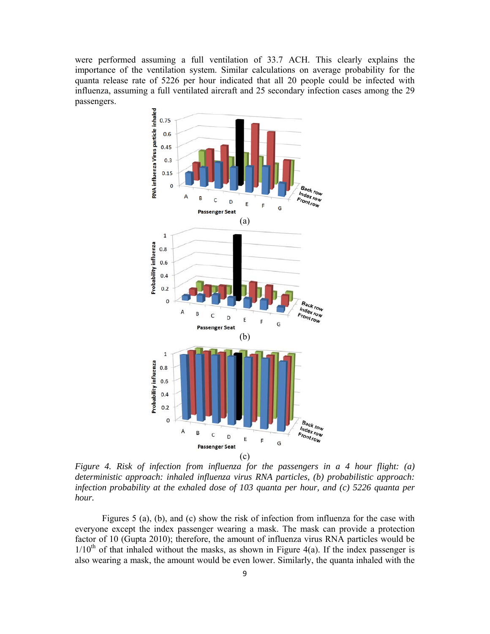were performed assuming a full ventilation of 33.7 ACH. This clearly explains the importance of the ventilation system. Similar calculations on average probability for the quanta release rate of 5226 per hour indicated that all 20 people could be infected with influenza, assuming a full ventilated aircraft and 25 secondary infection cases among the 29 passengers.



*Figure 4. Risk of infection from influenza for the passengers in a 4 hour flight: (a) deterministic approach: inhaled influenza virus RNA particles, (b) probabilistic approach: infection probability at the exhaled dose of 103 quanta per hour, and (c) 5226 quanta per hour.* 

Figures 5 (a), (b), and (c) show the risk of infection from influenza for the case with everyone except the index passenger wearing a mask. The mask can provide a protection factor of 10 (Gupta 2010); therefore, the amount of influenza virus RNA particles would be  $1/10<sup>th</sup>$  of that inhaled without the masks, as shown in Figure 4(a). If the index passenger is also wearing a mask, the amount would be even lower. Similarly, the quanta inhaled with the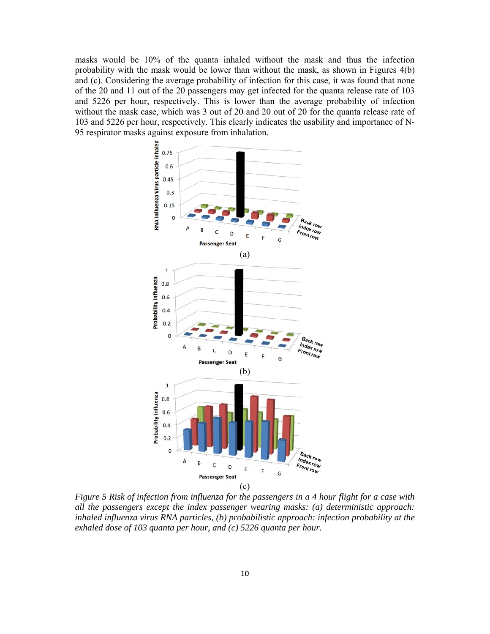masks would be 10% of the quanta inhaled without the mask and thus the infection probability with the mask would be lower than without the mask, as shown in Figures 4(b) and (c). Considering the average probability of infection for this case, it was found that none of the 20 and 11 out of the 20 passengers may get infected for the quanta release rate of 103 and 5226 per hour, respectively. This is lower than the average probability of infection without the mask case, which was 3 out of 20 and 20 out of 20 for the quanta release rate of 103 and 5226 per hour, respectively. This clearly indicates the usability and importance of N-95 respirator masks against exposure from inhalation.



*Figure 5 Risk of infection from influenza for the passengers in a 4 hour flight for a case with all the passengers except the index passenger wearing masks: (a) deterministic approach: inhaled influenza virus RNA particles, (b) probabilistic approach: infection probability at the exhaled dose of 103 quanta per hour, and (c) 5226 quanta per hour.*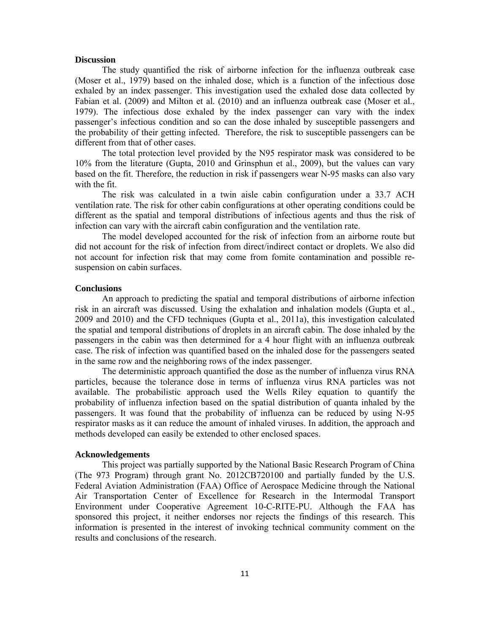### **Discussion**

The study quantified the risk of airborne infection for the influenza outbreak case (Moser et al., 1979) based on the inhaled dose, which is a function of the infectious dose exhaled by an index passenger. This investigation used the exhaled dose data collected by Fabian et al. (2009) and Milton et al. (2010) and an influenza outbreak case (Moser et al., 1979). The infectious dose exhaled by the index passenger can vary with the index passenger's infectious condition and so can the dose inhaled by susceptible passengers and the probability of their getting infected. Therefore, the risk to susceptible passengers can be different from that of other cases.

The total protection level provided by the N95 respirator mask was considered to be 10% from the literature (Gupta, 2010 and Grinsphun et al., 2009), but the values can vary based on the fit. Therefore, the reduction in risk if passengers wear N-95 masks can also vary with the fit.

The risk was calculated in a twin aisle cabin configuration under a 33.7 ACH ventilation rate. The risk for other cabin configurations at other operating conditions could be different as the spatial and temporal distributions of infectious agents and thus the risk of infection can vary with the aircraft cabin configuration and the ventilation rate.

The model developed accounted for the risk of infection from an airborne route but did not account for the risk of infection from direct/indirect contact or droplets. We also did not account for infection risk that may come from fomite contamination and possible resuspension on cabin surfaces.

### **Conclusions**

An approach to predicting the spatial and temporal distributions of airborne infection risk in an aircraft was discussed. Using the exhalation and inhalation models (Gupta et al., 2009 and 2010) and the CFD techniques (Gupta et al., 2011a), this investigation calculated the spatial and temporal distributions of droplets in an aircraft cabin. The dose inhaled by the passengers in the cabin was then determined for a 4 hour flight with an influenza outbreak case. The risk of infection was quantified based on the inhaled dose for the passengers seated in the same row and the neighboring rows of the index passenger.

The deterministic approach quantified the dose as the number of influenza virus RNA particles, because the tolerance dose in terms of influenza virus RNA particles was not available. The probabilistic approach used the Wells Riley equation to quantify the probability of influenza infection based on the spatial distribution of quanta inhaled by the passengers. It was found that the probability of influenza can be reduced by using N-95 respirator masks as it can reduce the amount of inhaled viruses. In addition, the approach and methods developed can easily be extended to other enclosed spaces.

## **Acknowledgements**

This project was partially supported by the National Basic Research Program of China (The 973 Program) through grant No. 2012CB720100 and partially funded by the U.S. Federal Aviation Administration (FAA) Office of Aerospace Medicine through the National Air Transportation Center of Excellence for Research in the Intermodal Transport Environment under Cooperative Agreement 10-C-RITE-PU. Although the FAA has sponsored this project, it neither endorses nor rejects the findings of this research. This information is presented in the interest of invoking technical community comment on the results and conclusions of the research.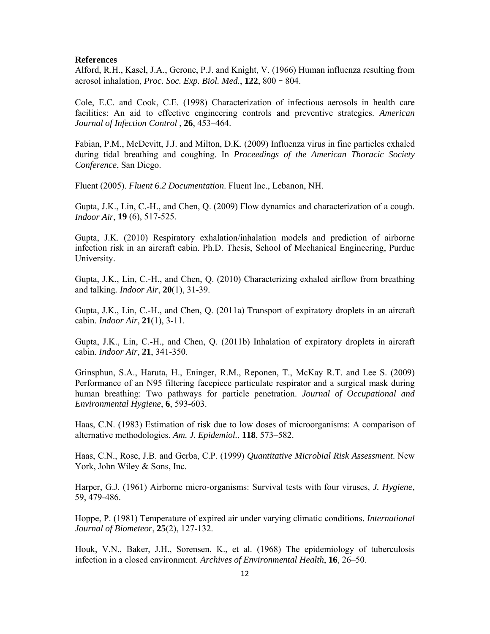## **References**

Alford, R.H., Kasel, J.A., Gerone, P.J. and Knight, V. (1966) Human influenza resulting from aerosol inhalation, *Proc. Soc. Exp. Biol. Med.*, **122**, 800–804.

Cole, E.C. and Cook, C.E. (1998) Characterization of infectious aerosols in health care facilities: An aid to effective engineering controls and preventive strategies. *American Journal of Infection Control* , **26**, 453–464.

Fabian, P.M., McDevitt, J.J. and Milton, D.K. (2009) Influenza virus in fine particles exhaled during tidal breathing and coughing. In *Proceedings of the American Thoracic Society Conference*, San Diego.

Fluent (2005). *Fluent 6.2 Documentation*. Fluent Inc., Lebanon, NH.

Gupta, J.K., Lin, C.-H., and Chen, Q. (2009) Flow dynamics and characterization of a cough. *Indoor Air*, **19** (6), 517-525.

Gupta, J.K. (2010) Respiratory exhalation/inhalation models and prediction of airborne infection risk in an aircraft cabin. Ph.D. Thesis, School of Mechanical Engineering, Purdue University.

Gupta, J.K., Lin, C.-H., and Chen, Q. (2010) Characterizing exhaled airflow from breathing and talking*. Indoor Air*, **20**(1), 31-39.

Gupta, J.K., Lin, C.-H., and Chen, Q. (2011a) Transport of expiratory droplets in an aircraft cabin. *Indoor Air*, **21**(1), 3-11.

Gupta, J.K., Lin, C.-H., and Chen, Q. (2011b) Inhalation of expiratory droplets in aircraft cabin. *Indoor Air*, **21**, 341-350.

Grinsphun, S.A., Haruta, H., Eninger, R.M., Reponen, T., McKay R.T. and Lee S. (2009) Performance of an N95 filtering facepiece particulate respirator and a surgical mask during human breathing: Two pathways for particle penetration. *Journal of Occupational and Environmental Hygiene*, **6**, 593-603.

Haas, C.N. (1983) Estimation of risk due to low doses of microorganisms: A comparison of alternative methodologies. *Am. J. Epidemiol.*, **118**, 573–582.

Haas, C.N., Rose, J.B. and Gerba, C.P. (1999) *Quantitative Microbial Risk Assessment*. New York, John Wiley & Sons, Inc.

Harper, G.J. (1961) Airborne micro-organisms: Survival tests with four viruses, *J. Hygiene*, 59, 479-486.

Hoppe, P. (1981) Temperature of expired air under varying climatic conditions. *International Journal of Biometeor*, **25**(2), 127-132.

Houk, V.N., Baker, J.H., Sorensen, K., et al. (1968) The epidemiology of tuberculosis infection in a closed environment. *Archives of Environmental Health*, **16**, 26–50.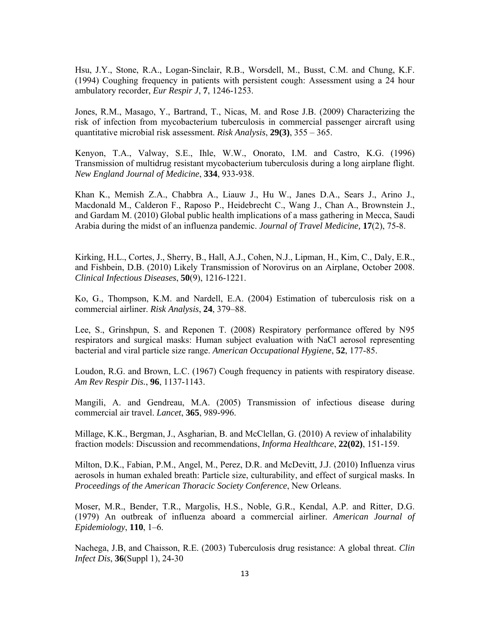Hsu, J.Y., Stone, R.A., Logan-Sinclair, R.B., Worsdell, M., Busst, C.M. and Chung, K.F. (1994) Coughing frequency in patients with persistent cough: Assessment using a 24 hour ambulatory recorder, *Eur Respir J*, **7**, 1246-1253.

Jones, R.M., Masago, Y., Bartrand, T., Nicas, M. and Rose J.B. (2009) Characterizing the risk of infection from mycobacterium tuberculosis in commercial passenger aircraft using quantitative microbial risk assessment. *Risk Analysis*, **29(3)**, 355 – 365.

Kenyon, T.A., Valway, S.E., Ihle, W.W., Onorato, I.M. and Castro, K.G. (1996) Transmission of multidrug resistant mycobacterium tuberculosis during a long airplane flight. *New England Journal of Medicine*, **334**, 933-938.

Khan K., Memish Z.A., Chabbra A., Liauw J., Hu W., Janes D.A., Sears J., Arino J., Macdonald M., Calderon F., Raposo P., Heidebrecht C., Wang J., Chan A., Brownstein J., and Gardam M. (2010) Global public health implications of a mass gathering in Mecca, Saudi Arabia during the midst of an influenza pandemic. *Journal of Travel Medicine,* **17**(2), 75-8.

Kirking, H.L., Cortes, J., Sherry, B., Hall, A.J., Cohen, N.J., Lipman, H., Kim, C., Daly, E.R., and Fishbein, D.B. (2010) Likely Transmission of Norovirus on an Airplane, October 2008. *Clinical Infectious Diseases*, **50**(9), 1216-1221.

Ko, G., Thompson, K.M. and Nardell, E.A. (2004) Estimation of tuberculosis risk on a commercial airliner. *Risk Analysis*, **24**, 379–88.

Lee, S., Grinshpun, S. and Reponen T. (2008) Respiratory performance offered by N95 respirators and surgical masks: Human subject evaluation with NaCl aerosol representing bacterial and viral particle size range. *American Occupational Hygiene*, **52**, 177-85.

Loudon, R.G. and Brown, L.C. (1967) Cough frequency in patients with respiratory disease. *Am Rev Respir Dis.*, **96**, 1137-1143.

Mangili, A. and Gendreau, M.A. (2005) Transmission of infectious disease during commercial air travel. *Lancet*, **365**, 989-996.

Millage, K.K., Bergman, J., Asgharian, B. and McClellan, G. (2010) A review of inhalability fraction models: Discussion and recommendations, *Informa Healthcare*, **22(02)**, 151-159.

Milton, D.K., Fabian, P.M., Angel, M., Perez, D.R. and McDevitt, J.J. (2010) Influenza virus aerosols in human exhaled breath: Particle size, culturability, and effect of surgical masks. In *Proceedings of the American Thoracic Society Conference*, New Orleans.

Moser, M.R., Bender, T.R., Margolis, H.S., Noble, G.R., Kendal, A.P. and Ritter, D.G. (1979) An outbreak of influenza aboard a commercial airliner. *American Journal of Epidemiology*, **110**, 1–6.

Nachega, J.B, and Chaisson, R.E. (2003) Tuberculosis drug resistance: A global threat. *Clin Infect Dis*, **36**(Suppl 1), 24-30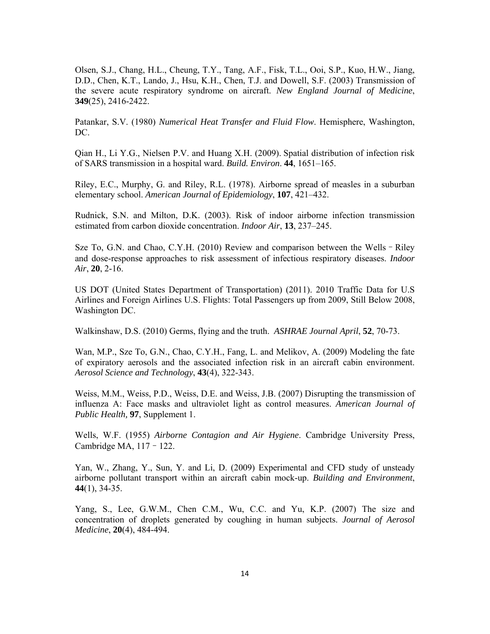Olsen, S.J., Chang, H.L., Cheung, T.Y., Tang, A.F., Fisk, T.L., Ooi, S.P., Kuo, H.W., Jiang, D.D., Chen, K.T., Lando, J., Hsu, K.H., Chen, T.J. and Dowell, S.F. (2003) Transmission of the severe acute respiratory syndrome on aircraft. *New England Journal of Medicine*, **349**(25), 2416-2422.

Patankar, S.V. (1980) *Numerical Heat Transfer and Fluid Flow*. Hemisphere, Washington, DC.

Qian H., Li Y.G., Nielsen P.V. and Huang X.H. (2009). Spatial distribution of infection risk of SARS transmission in a hospital ward. *Build. Environ*. **44**, 1651–165.

Riley, E.C., Murphy, G. and Riley, R.L. (1978). Airborne spread of measles in a suburban elementary school. *American Journal of Epidemiology*, **107**, 421–432.

Rudnick, S.N. and Milton, D.K. (2003). Risk of indoor airborne infection transmission estimated from carbon dioxide concentration. *Indoor Air*, **13**, 237–245.

Sze To, G.N. and Chao, C.Y.H. (2010) Review and comparison between the Wells–Riley and dose-response approaches to risk assessment of infectious respiratory diseases. *Indoor Air*, **20**, 2-16.

US DOT (United States Department of Transportation) (2011). 2010 Traffic Data for U.S Airlines and Foreign Airlines U.S. Flights: Total Passengers up from 2009, Still Below 2008, Washington DC.

Walkinshaw, D.S. (2010) Germs, flying and the truth. *ASHRAE Journal April*, **52**, 70-73.

Wan, M.P., Sze To, G.N., Chao, C.Y.H., Fang, L. and Melikov, A. (2009) Modeling the fate of expiratory aerosols and the associated infection risk in an aircraft cabin environment. *Aerosol Science and Technology*, **43**(4), 322-343.

Weiss, M.M., Weiss, P.D., Weiss, D.E. and Weiss, J.B. (2007) Disrupting the transmission of influenza A: Face masks and ultraviolet light as control measures. *American Journal of Public Health,* **97**, Supplement 1.

Wells, W.F. (1955) *Airborne Contagion and Air Hygiene*. Cambridge University Press, Cambridge MA, 117–122.

Yan, W., Zhang, Y., Sun, Y. and Li, D. (2009) Experimental and CFD study of unsteady airborne pollutant transport within an aircraft cabin mock-up. *Building and Environment*, **44**(1), 34-35.

Yang, S., Lee, G.W.M., Chen C.M., Wu, C.C. and Yu, K.P. (2007) The size and concentration of droplets generated by coughing in human subjects. *Journal of Aerosol Medicine*, **20**(4), 484-494.